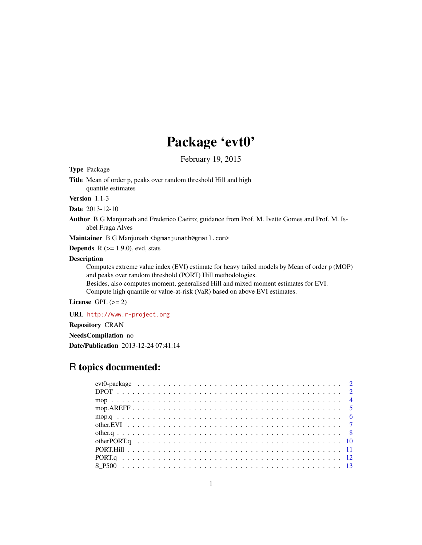# Package 'evt0'

February 19, 2015

Type Package

Title Mean of order p, peaks over random threshold Hill and high quantile estimates

Version 1.1-3

Date 2013-12-10

Author B G Manjunath and Frederico Caeiro; guidance from Prof. M. Ivette Gomes and Prof. M. Isabel Fraga Alves

Maintainer B G Manjunath <br/>bgmanjunath@gmail.com>

**Depends**  $R$  ( $>= 1.9.0$ ), evd, stats

#### Description

Computes extreme value index (EVI) estimate for heavy tailed models by Mean of order p (MOP) and peaks over random threshold (PORT) Hill methodologies.

Besides, also computes moment, generalised Hill and mixed moment estimates for EVI. Compute high quantile or value-at-risk (VaR) based on above EVI estimates.

License GPL  $(>= 2)$ 

URL <http://www.r-project.org> Repository CRAN NeedsCompilation no

Date/Publication 2013-12-24 07:41:14

# R topics documented: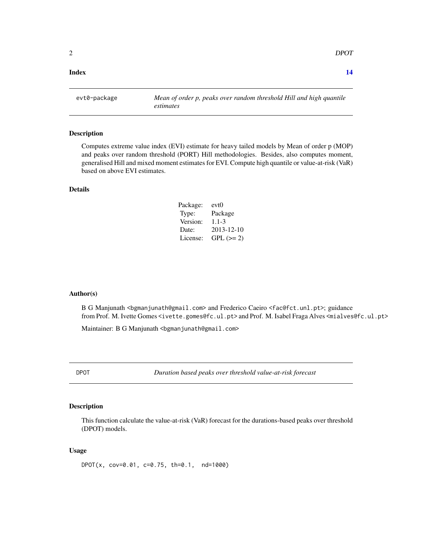#### <span id="page-1-0"></span>**Index** 2008 **[14](#page-13-0)**

evt0-package *Mean of order p, peaks over random threshold Hill and high quantile estimates*

#### Description

Computes extreme value index (EVI) estimate for heavy tailed models by Mean of order p (MOP) and peaks over random threshold (PORT) Hill methodologies. Besides, also computes moment, generalised Hill and mixed moment estimates for EVI. Compute high quantile or value-at-risk (VaR) based on above EVI estimates.

# Details

| Package: | evt0             |
|----------|------------------|
| Type:    | Package          |
| Version: | $1.1 - 3$        |
| Date:    | $2013 - 12 - 10$ |
| License: | $GPL (=2)$       |

#### Author(s)

B G Manjunath <bgmanjunath@gmail.com> and Frederico Caeiro <fac@fct.unl.pt>; guidance from Prof. M. Ivette Gomes <ivette.gomes@fc.ul.pt> and Prof. M. Isabel Fraga Alves <mialves@fc.ul.pt>

Maintainer: B G Manjunath <br/>bgmanjunath@gmail.com>

DPOT *Duration based peaks over threshold value-at-risk forecast*

# Description

This function calculate the value-at-risk (VaR) forecast for the durations-based peaks over threshold (DPOT) models.

### Usage

DPOT(x, cov=0.01, c=0.75, th=0.1, nd=1000)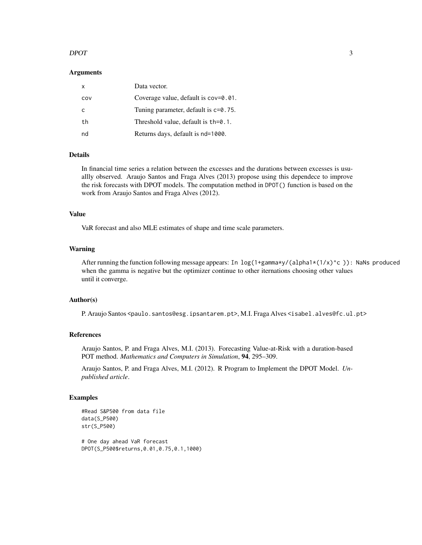# $D$ POT  $\overline{3}$

# Arguments

| x   | Data vector.                            |
|-----|-----------------------------------------|
| COV | Coverage value, default is $cov=0.01$ . |
| C   | Tuning parameter, default is $c=0.75$ . |
| th  | Threshold value, default is $th=0.1$ .  |
| nd  | Returns days, default is nd=1000.       |

# Details

In financial time series a relation between the excesses and the durations between excesses is usuallly observed. Araujo Santos and Fraga Alves (2013) propose using this dependece to improve the risk forecasts with DPOT models. The computation method in DPOT() function is based on the work from Araujo Santos and Fraga Alves (2012).

#### Value

VaR forecast and also MLE estimates of shape and time scale parameters.

# Warning

After running the function following message appears: In  $\log(1+\gamma)/(\text{alpha}+\gamma)/(\text{alpha}+\gamma)$ : NaNs produced when the gamma is negative but the optimizer continue to other iternations choosing other values until it converge.

#### Author(s)

P. Araujo Santos <paulo.santos@esg.ipsantarem.pt>, M.I. Fraga Alves <isabel.alves@fc.ul.pt>

# References

Araujo Santos, P. and Fraga Alves, M.I. (2013). Forecasting Value-at-Risk with a duration-based POT method. *Mathematics and Computers in Simulation*, 94, 295–309.

Araujo Santos, P. and Fraga Alves, M.I. (2012). R Program to Implement the DPOT Model. *Unpublished article*.

#### Examples

```
#Read S&P500 from data file
data(S_P500)
str(S_P500)
```
# One day ahead VaR forecast DPOT(S\_P500\$returns,0.01,0.75,0.1,1000)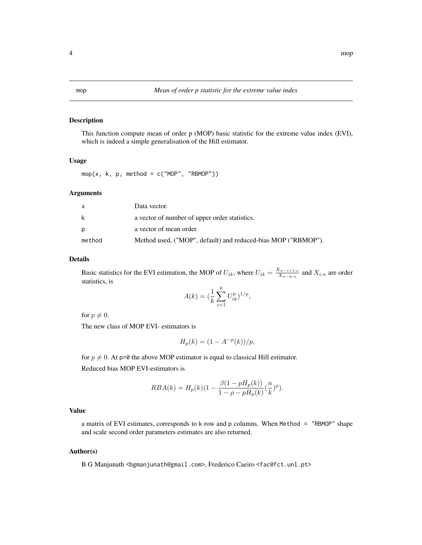# <span id="page-3-1"></span><span id="page-3-0"></span>Description

This function compute mean of order p (MOP) basic statistic for the extreme value index (EVI), which is indeed a simple generalisation of the Hill estimator.

### Usage

mop(x, k, p, method =  $c("MOP", "RBMOP")$ )

# Arguments

|        | Data vector.                                                  |
|--------|---------------------------------------------------------------|
| k      | a vector of number of upper order statistics.                 |
| Ŋ      | a vector of mean order.                                       |
| method | Method used, ("MOP", default) and reduced-bias MOP ("RBMOP"). |

#### Details

Basic statistics for the EVI estimation, the MOP of  $U_{ik}$ , where  $U_{ik} = \frac{X_{n-i+1:n}}{X_{n-1:n}}$  $\frac{X_{n-i+1:n}}{X_{n-k:n}}$  and  $X_{i:n}$  are order statistics, is

$$
A(k) = \left(\frac{1}{k} \sum_{i=1}^{k} U_{ik}^{p}\right)^{1/p},
$$

for  $p \neq 0$ .

The new class of MOP EVI- estimators is

$$
H_p(k) = (1 - A^{-p}(k))/p,
$$

for  $p \neq 0$ . At p=0 the above MOP estimator is equal to classical Hill estimator. Reduced bias MOP EVI-estimators is

$$
RBA(k) = H_p(k)(1 - \frac{\beta(1 - pH_p(k))}{1 - \rho - pH_p(k)}(\frac{n}{k})^{\rho}).
$$

# Value

a matrix of EVI estimates, corresponds to k row and p columns. When Method = "RBMOP" shape and scale second order parameters estimates are also returned.

# Author(s)

B G Manjunath <br/>bgmanjunath@gmail.com>, Frederico Caeiro <fac@fct.unl.pt>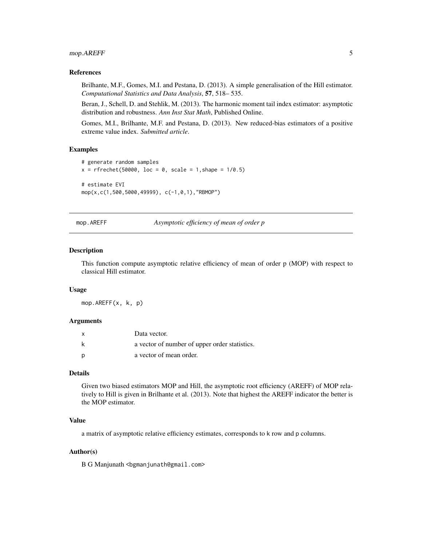# <span id="page-4-0"></span>mop.AREFF 5

# References

Brilhante, M.F., Gomes, M.I. and Pestana, D. (2013). A simple generalisation of the Hill estimator. *Computational Statistics and Data Analysis*, 57, 518– 535.

Beran, J., Schell, D. and Stehlik, M. (2013). The harmonic moment tail index estimator: asymptotic distribution and robustness. *Ann Inst Stat Math*, Published Online.

Gomes, M.I., Brilhante, M.F. and Pestana, D. (2013). New reduced-bias estimators of a positive extreme value index. *Submitted article*.

# Examples

```
# generate random samples
x = r frechet(50000, loc = 0, scale = 1, shape = 1/0.5)
# estimate EVI
mop(x,c(1,500,5000,49999), c(-1,0,1),"RBMOP")
```
mop.AREFF *Asymptotic efficiency of mean of order p*

#### **Description**

This function compute asymptotic relative efficiency of mean of order p (MOP) with respect to classical Hill estimator.

#### Usage

mop.AREFF(x, k, p)

#### Arguments

| $\mathsf{x}$ | Data vector.                                  |
|--------------|-----------------------------------------------|
|              | a vector of number of upper order statistics. |
| D            | a vector of mean order.                       |

#### Details

Given two biased estimators MOP and Hill, the asymptotic root efficiency (AREFF) of MOP relatively to Hill is given in Brilhante et al. (2013). Note that highest the AREFF indicator the better is the MOP estimator.

# Value

a matrix of asymptotic relative efficiency estimates, corresponds to k row and p columns.

# Author(s)

B G Manjunath <br/>bgmanjunath@gmail.com>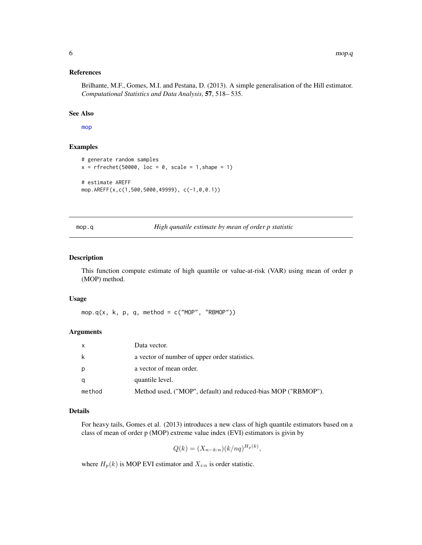# <span id="page-5-0"></span>References

Brilhante, M.F., Gomes, M.I. and Pestana, D. (2013). A simple generalisation of the Hill estimator. *Computational Statistics and Data Analysis*, 57, 518– 535.

#### See Also

[mop](#page-3-1)

# Examples

```
# generate random samples
x = r frechet(50000, loc = 0, scale = 1, shape = 1)
# estimate AREFF
mop.AREFF(x,c(1,500,5000,49999), c(-1,0,0.1))
```
mop.q *High qunatile estimate by mean of order p statistic*

# Description

This function compute estimate of high quantile or value-at-risk (VAR) using mean of order p (MOP) method.

# Usage

mop.q(x, k, p, q, method =  $c("MOP", "RBMOP")$ )

#### Arguments

| $\mathsf{x}$ | Data vector.                                                  |
|--------------|---------------------------------------------------------------|
| k            | a vector of number of upper order statistics.                 |
| p            | a vector of mean order.                                       |
| q            | quantile level.                                               |
| method       | Method used, ("MOP", default) and reduced-bias MOP ("RBMOP"). |

# Details

For heavy tails, Gomes et al. (2013) introduces a new class of high quantile estimators based on a class of mean of order p (MOP) extreme value index (EVI) estimators is givin by

$$
Q(k) = (X_{n-k:n})(k/nq)^{H_p(k)},
$$

where  $H_p(k)$  is MOP EVI estimator and  $X_{i:n}$  is order statistic.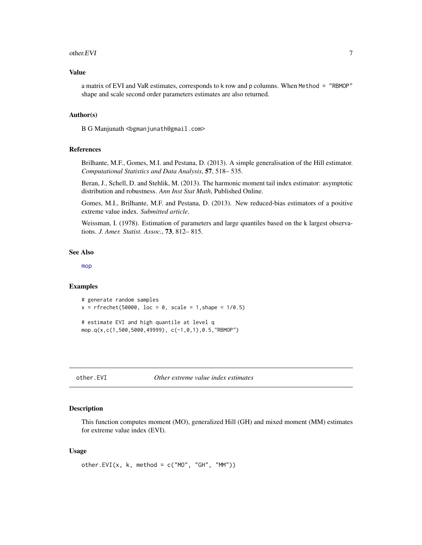#### <span id="page-6-0"></span>other.EVI 7

# Value

a matrix of EVI and VaR estimates, corresponds to k row and p columns. When Method = "RBMOP" shape and scale second order parameters estimates are also returned.

#### Author(s)

B G Manjunath <br/>bgmanjunath@gmail.com>

# References

Brilhante, M.F., Gomes, M.I. and Pestana, D. (2013). A simple generalisation of the Hill estimator. *Computational Statistics and Data Analysis*, 57, 518– 535.

Beran, J., Schell, D. and Stehlik, M. (2013). The harmonic moment tail index estimator: asymptotic distribution and robustness. *Ann Inst Stat Math*, Published Online.

Gomes, M.I., Brilhante, M.F. and Pestana, D. (2013). New reduced-bias estimators of a positive extreme value index. *Submitted article*.

Weissman, I. (1978). Estimation of parameters and large quantiles based on the k largest observations. *J. Amer. Statist. Assoc.*, 73, 812– 815.

#### See Also

[mop](#page-3-1)

#### Examples

```
# generate random samples
x = r frechet(50000, loc = 0, scale = 1, shape = 1/0.5)
# estimate EVI and high quantile at level q
mop.q(x,c(1,500,5000,49999), c(-1,0,1),0.5,"RBMOP")
```

```
other.EVI Other extreme value index estimates
```
#### Description

This function computes moment (MO), generalized Hill (GH) and mixed moment (MM) estimates for extreme value index (EVI).

# Usage

```
other.EVI(x, k, \text{ method} = c("MO", "GH", "MM"))
```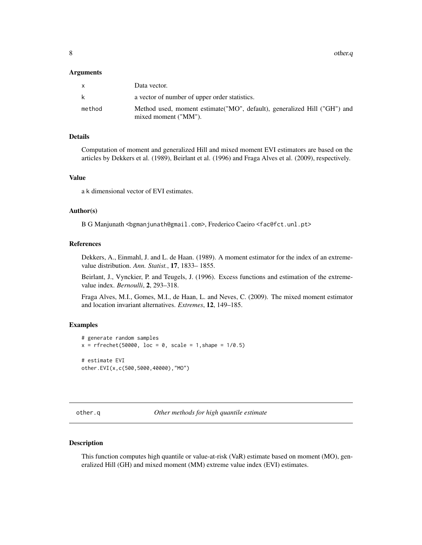<span id="page-7-0"></span>8 other.q

# Arguments

| X      | Data vector.                                                                                      |
|--------|---------------------------------------------------------------------------------------------------|
| k      | a vector of number of upper order statistics.                                                     |
| method | Method used, moment estimate ("MO", default), generalized Hill ("GH") and<br>mixed moment ("MM"). |

# Details

Computation of moment and generalized Hill and mixed moment EVI estimators are based on the articles by Dekkers et al. (1989), Beirlant et al. (1996) and Fraga Alves et al. (2009), respectively.

#### Value

a k dimensional vector of EVI estimates.

# Author(s)

B G Manjunath <br/>bgmanjunath@gmail.com>, Frederico Caeiro <fac@fct.unl.pt>

# References

Dekkers, A., Einmahl, J. and L. de Haan. (1989). A moment estimator for the index of an extremevalue distribution. *Ann. Statist.*, 17, 1833– 1855.

Beirlant, J., Vynckier, P. and Teugels, J. (1996). Excess functions and estimation of the extremevalue index. *Bernoulli*, 2, 293–318.

Fraga Alves, M.I., Gomes, M.I., de Haan, L. and Neves, C. (2009). The mixed moment estimator and location invariant alternatives. *Extremes*, 12, 149–185.

# Examples

```
# generate random samples
x = r frechet(50000, loc = 0, scale = 1, shape = 1/0.5)
# estimate EVI
other.EVI(x,c(500,5000,40000),"MO")
```
other.q *Other methods for high quantile estimate*

# **Description**

This function computes high quantile or value-at-risk (VaR) estimate based on moment (MO), generalized Hill (GH) and mixed moment (MM) extreme value index (EVI) estimates.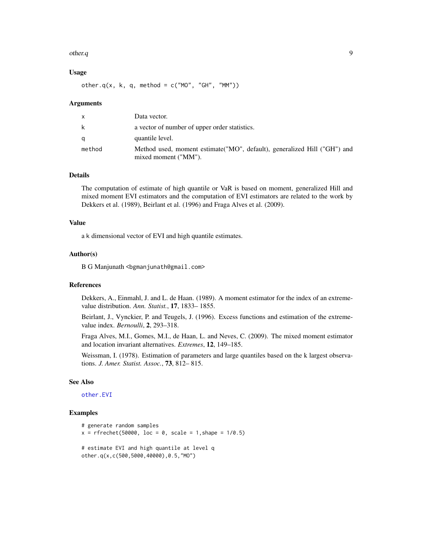#### <span id="page-8-0"></span>other.q and the set of the set of the set of the set of the set of the set of the set of the set of the set of the set of the set of the set of the set of the set of the set of the set of the set of the set of the set of t

# Usage

other.q(x, k, q, method =  $c("MO", "GH", "MM")$ )

#### Arguments

|        | Data vector.                                                                                      |
|--------|---------------------------------------------------------------------------------------------------|
| k.     | a vector of number of upper order statistics.                                                     |
|        | quantile level.                                                                                   |
| method | Method used, moment estimate ("MO", default), generalized Hill ("GH") and<br>mixed moment ("MM"). |

# Details

The computation of estimate of high quantile or VaR is based on moment, generalized Hill and mixed moment EVI estimators and the computation of EVI estimators are related to the work by Dekkers et al. (1989), Beirlant et al. (1996) and Fraga Alves et al. (2009).

# Value

a k dimensional vector of EVI and high quantile estimates.

# Author(s)

B G Manjunath <br/>bgmanjunath@gmail.com>

#### References

Dekkers, A., Einmahl, J. and L. de Haan. (1989). A moment estimator for the index of an extremevalue distribution. *Ann. Statist.*, 17, 1833– 1855.

Beirlant, J., Vynckier, P. and Teugels, J. (1996). Excess functions and estimation of the extremevalue index. *Bernoulli*, 2, 293–318.

Fraga Alves, M.I., Gomes, M.I., de Haan, L. and Neves, C. (2009). The mixed moment estimator and location invariant alternatives. *Extremes*, 12, 149–185.

Weissman, I. (1978). Estimation of parameters and large quantiles based on the k largest observations. *J. Amer. Statist. Assoc.*, 73, 812– 815.

# See Also

[other.EVI](#page-6-1)

# Examples

```
# generate random samples
x = r frechet(50000, loc = 0, scale = 1, shape = 1/0.5)
# estimate EVI and high quantile at level q
other.q(x,c(500,5000,40000),0.5,"MO")
```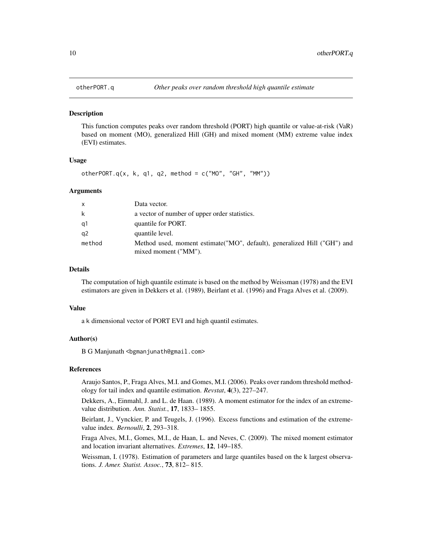<span id="page-9-0"></span>

# Description

This function computes peaks over random threshold (PORT) high quantile or value-at-risk (VaR) based on moment (MO), generalized Hill (GH) and mixed moment (MM) extreme value index (EVI) estimates.

# Usage

otherPORT.q(x, k, q1, q2, method =  $c("MO", "GH", "MM"))$ 

# Arguments

| $\mathsf{x}$   | Data vector.                                                                                      |
|----------------|---------------------------------------------------------------------------------------------------|
| k              | a vector of number of upper order statistics.                                                     |
| q1             | quantile for PORT.                                                                                |
| q <sub>2</sub> | quantile level.                                                                                   |
| method         | Method used, moment estimate ("MO", default), generalized Hill ("GH") and<br>mixed moment ("MM"). |

# Details

The computation of high quantile estimate is based on the method by Weissman (1978) and the EVI estimators are given in Dekkers et al. (1989), Beirlant et al. (1996) and Fraga Alves et al. (2009).

#### Value

a k dimensional vector of PORT EVI and high quantil estimates.

# Author(s)

B G Manjunath <br/>bgmanjunath@gmail.com>

# References

Araujo Santos, P., Fraga Alves, M.I. and Gomes, M.I. (2006). Peaks over random threshold methodology for tail index and quantile estimation. *Revstat*, 4(3), 227–247.

Dekkers, A., Einmahl, J. and L. de Haan. (1989). A moment estimator for the index of an extremevalue distribution. *Ann. Statist.*, 17, 1833– 1855.

Beirlant, J., Vynckier, P. and Teugels, J. (1996). Excess functions and estimation of the extremevalue index. *Bernoulli*, 2, 293–318.

Fraga Alves, M.I., Gomes, M.I., de Haan, L. and Neves, C. (2009). The mixed moment estimator and location invariant alternatives. *Extremes*, 12, 149–185.

Weissman, I. (1978). Estimation of parameters and large quantiles based on the k largest observations. *J. Amer. Statist. Assoc.*, 73, 812– 815.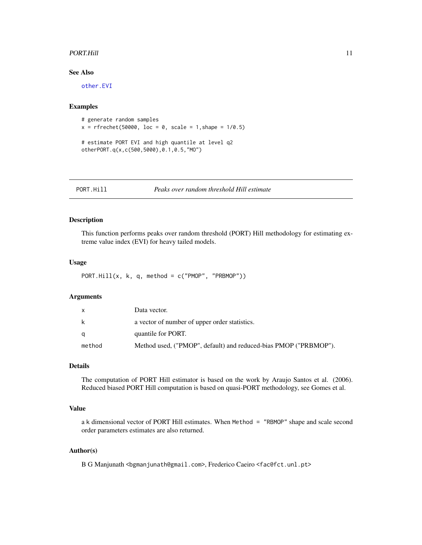# <span id="page-10-0"></span>PORT.Hill 2008 2014 2022 2022 2023 2024 2022 2022 2023 2024 2022 2023 2024 2022 2023 2024 2022 2023 2024 2022 2023 2024 2022 2023 2024 2022 2023 2024 2022 2023 2024 2022 2023 2024 2022 2023 2024 2022 2023 2024 2022 2023 20

# See Also

[other.EVI](#page-6-1)

# Examples

```
# generate random samples
x = r frechet(50000, loc = 0, scale = 1, shape = 1/0.5)
# estimate PORT EVI and high quantile at level q2
otherPORT.q(x,c(500,5000),0.1,0.5,"MO")
```
<span id="page-10-1"></span>

# Description

This function performs peaks over random threshold (PORT) Hill methodology for estimating extreme value index (EVI) for heavy tailed models.

#### Usage

```
PORT.Hill(x, k, q, method = c("PMOP", "PRBMOP"))
```
# Arguments

|        | Data vector.                                                     |
|--------|------------------------------------------------------------------|
| k      | a vector of number of upper order statistics.                    |
| α      | quantile for PORT.                                               |
| method | Method used, ("PMOP", default) and reduced-bias PMOP ("PRBMOP"). |

# Details

The computation of PORT Hill estimator is based on the work by Araujo Santos et al. (2006). Reduced biased PORT Hill computation is based on quasi-PORT methodology, see Gomes et al.

# Value

a k dimensional vector of PORT Hill estimates. When Method = "RBMOP" shape and scale second order parameters estimates are also returned.

# Author(s)

B G Manjunath <br/>bgmanjunath@gmail.com>, Frederico Caeiro <fac@fct.unl.pt>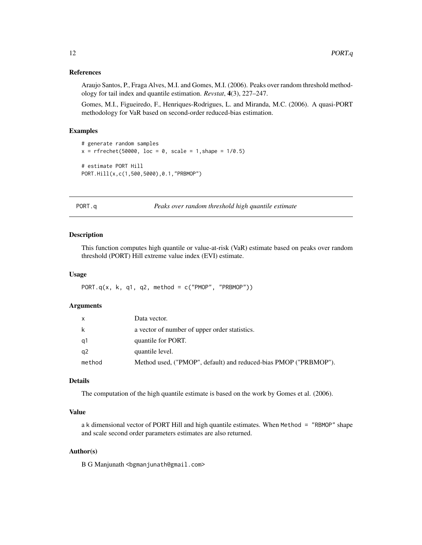# References

Araujo Santos, P., Fraga Alves, M.I. and Gomes, M.I. (2006). Peaks over random threshold methodology for tail index and quantile estimation. *Revstat*, 4(3), 227–247.

Gomes, M.I., Figueiredo, F., Henriques-Rodrigues, L. and Miranda, M.C. (2006). A quasi-PORT methodology for VaR based on second-order reduced-bias estimation.

# Examples

```
# generate random samples
x = r frechet(50000, loc = 0, scale = 1, shape = 1/0.5)
# estimate PORT Hill
PORT.Hill(x,c(1,500,5000),0.1,"PRBMOP")
```
PORT.q *Peaks over random threshold high quantile estimate*

# Description

This function computes high quantile or value-at-risk (VaR) estimate based on peaks over random threshold (PORT) Hill extreme value index (EVI) estimate.

#### Usage

PORT.q(x, k, q1, q2, method =  $c("PMOP", "PRBMOP"))$ 

#### Arguments

|        | Data vector.                                                     |
|--------|------------------------------------------------------------------|
| k      | a vector of number of upper order statistics.                    |
| a1     | quantile for PORT.                                               |
| a2     | quantile level.                                                  |
| method | Method used, ("PMOP", default) and reduced-bias PMOP ("PRBMOP"). |

# Details

The computation of the high quantile estimate is based on the work by Gomes et al. (2006).

# Value

a k dimensional vector of PORT Hill and high quantile estimates. When Method = "RBMOP" shape and scale second order parameters estimates are also returned.

# Author(s)

B G Manjunath <br/>bgmanjunath@gmail.com>

<span id="page-11-0"></span>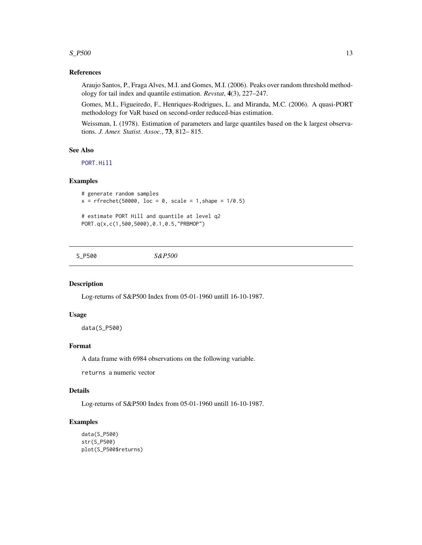# <span id="page-12-0"></span> $S_{\text{v}}$   $\rightarrow$  13

# References

Araujo Santos, P., Fraga Alves, M.I. and Gomes, M.I. (2006). Peaks over random threshold methodology for tail index and quantile estimation. *Revstat*, 4(3), 227–247.

Gomes, M.I., Figueiredo, F., Henriques-Rodrigues, L. and Miranda, M.C. (2006). A quasi-PORT methodology for VaR based on second-order reduced-bias estimation.

Weissman, I. (1978). Estimation of parameters and large quantiles based on the k largest observations. *J. Amer. Statist. Assoc.*, 73, 812– 815.

# See Also

[PORT.Hill](#page-10-1)

# Examples

```
# generate random samples
x = r frechet(50000, loc = 0, scale = 1, shape = 1/0.5)
# estimate PORT Hill and quantile at level q2
```
PORT.q(x,c(1,500,5000),0.1,0.5,"PRBMOP")

S\_P500 *S&P500*

# Description

Log-returns of S&P500 Index from 05-01-1960 untill 16-10-1987.

# Usage

data(S\_P500)

# Format

A data frame with 6984 observations on the following variable.

returns a numeric vector

# Details

Log-returns of S&P500 Index from 05-01-1960 untill 16-10-1987.

#### Examples

```
data(S_P500)
str(S_P500)
plot(S_P500$returns)
```